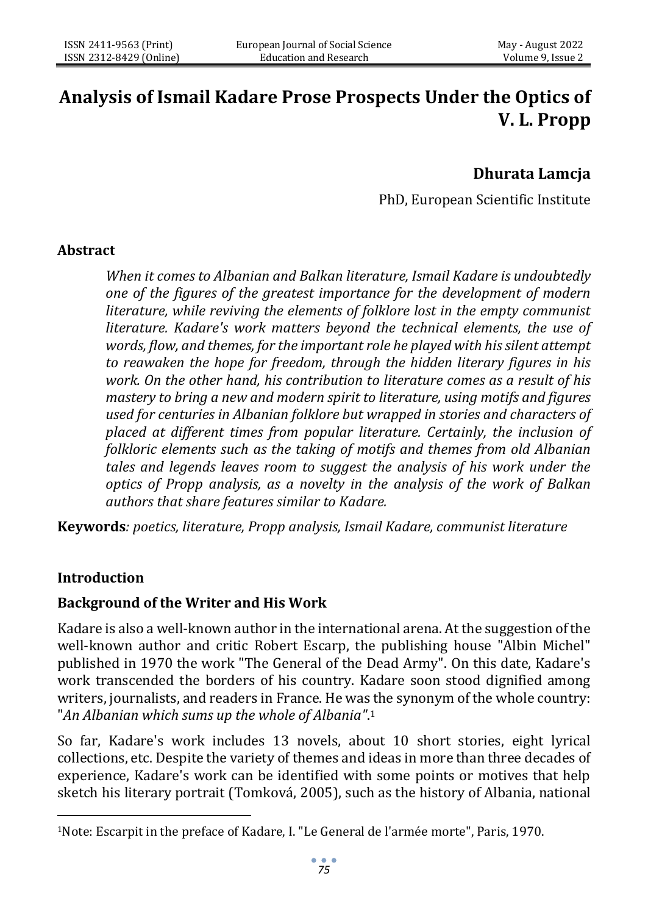# **Analysis of Ismail Kadare Prose Prospects Under the Optics of V. L. Propp**

# **Dhurata Lamcja**

PhD, European Scientific Institute

### **Abstract**

*When it comes to Albanian and Balkan literature, Ismail Kadare is undoubtedly one of the figures of the greatest importance for the development of modern literature, while reviving the elements of folklore lost in the empty communist literature. Kadare's work matters beyond the technical elements, the use of words, flow, and themes, for the important role he played with his silent attempt to reawaken the hope for freedom, through the hidden literary figures in his work. On the other hand, his contribution to literature comes as a result of his mastery to bring a new and modern spirit to literature, using motifs and figures used for centuries in Albanian folklore but wrapped in stories and characters of placed at different times from popular literature. Certainly, the inclusion of folkloric elements such as the taking of motifs and themes from old Albanian tales and legends leaves room to suggest the analysis of his work under the optics of Propp analysis, as a novelty in the analysis of the work of Balkan authors that share features similar to Kadare.*

**Keywords***: poetics, literature, Propp analysis, Ismail Kadare, communist literature*

# **Introduction**

#### **Background of the Writer and His Work**

Kadare is also a well-known author in the international arena. At the suggestion of the well-known author and critic Robert Escarp, the publishing house "Albin Michel" published in 1970 the work "The General of the Dead Army". On this date, Kadare's work transcended the borders of his country. Kadare soon stood dignified among writers, journalists, and readers in France. He was the synonym of the whole country: "*An Albanian which sums up the whole of Albania"*. 1

So far, Kadare's work includes 13 novels, about 10 short stories, eight lyrical collections, etc. Despite the variety of themes and ideas in more than three decades of experience, Kadare's work can be identified with some points or motives that help sketch his literary portrait (Tomková, 2005), such as the history of Albania, national

<sup>1</sup>Note: Escarpit in the preface of Kadare, I. "Le General de l'armée morte", Paris, 1970.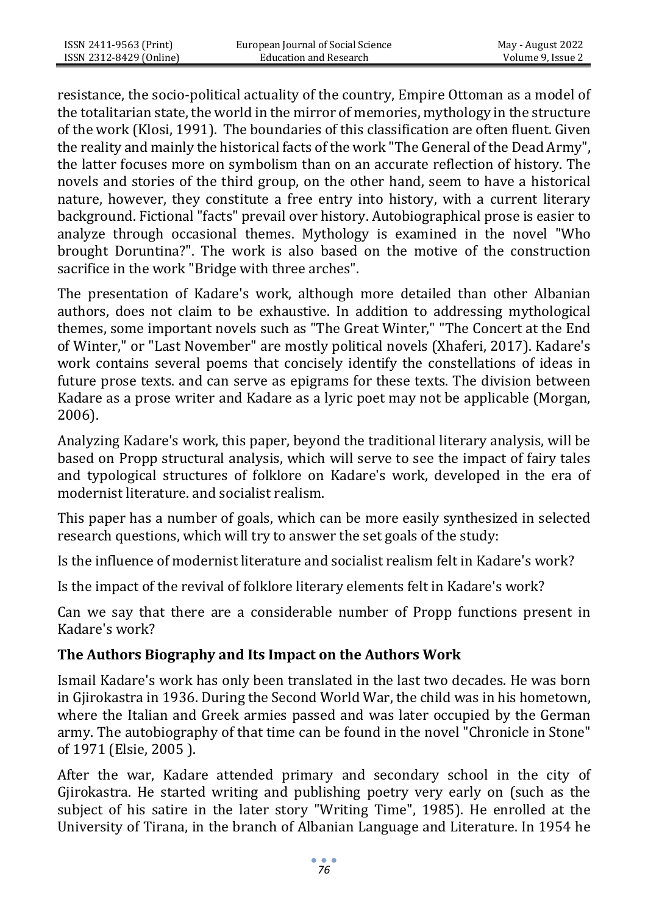resistance, the socio-political actuality of the country, Empire Ottoman as a model of the totalitarian state, the world in the mirror of memories, mythology in the structure of the work (Klosi, 1991). The boundaries of this classification are often fluent. Given the reality and mainly the historical facts of the work "The General of the Dead Army", the latter focuses more on symbolism than on an accurate reflection of history. The novels and stories of the third group, on the other hand, seem to have a historical nature, however, they constitute a free entry into history, with a current literary background. Fictional "facts" prevail over history. Autobiographical prose is easier to analyze through occasional themes. Mythology is examined in the novel "Who brought Doruntina?". The work is also based on the motive of the construction sacrifice in the work "Bridge with three arches".

The presentation of Kadare's work, although more detailed than other Albanian authors, does not claim to be exhaustive. In addition to addressing mythological themes, some important novels such as "The Great Winter," "The Concert at the End of Winter," or "Last November" are mostly political novels (Xhaferi, 2017). Kadare's work contains several poems that concisely identify the constellations of ideas in future prose texts. and can serve as epigrams for these texts. The division between Kadare as a prose writer and Kadare as a lyric poet may not be applicable (Morgan, 2006).

Analyzing Kadare's work, this paper, beyond the traditional literary analysis, will be based on Propp structural analysis, which will serve to see the impact of fairy tales and typological structures of folklore on Kadare's work, developed in the era of modernist literature. and socialist realism.

This paper has a number of goals, which can be more easily synthesized in selected research questions, which will try to answer the set goals of the study:

Is the influence of modernist literature and socialist realism felt in Kadare's work?

Is the impact of the revival of folklore literary elements felt in Kadare's work?

Can we say that there are a considerable number of Propp functions present in Kadare's work?

# **The Authors Biography and Its Impact on the Authors Work**

Ismail Kadare's work has only been translated in the last two decades. He was born in Gjirokastra in 1936. During the Second World War, the child was in his hometown, where the Italian and Greek armies passed and was later occupied by the German army. The autobiography of that time can be found in the novel "Chronicle in Stone" of 1971 (Elsie, 2005 ).

After the war, Kadare attended primary and secondary school in the city of Gjirokastra. He started writing and publishing poetry very early on (such as the subject of his satire in the later story "Writing Time", 1985). He enrolled at the University of Tirana, in the branch of Albanian Language and Literature. In 1954 he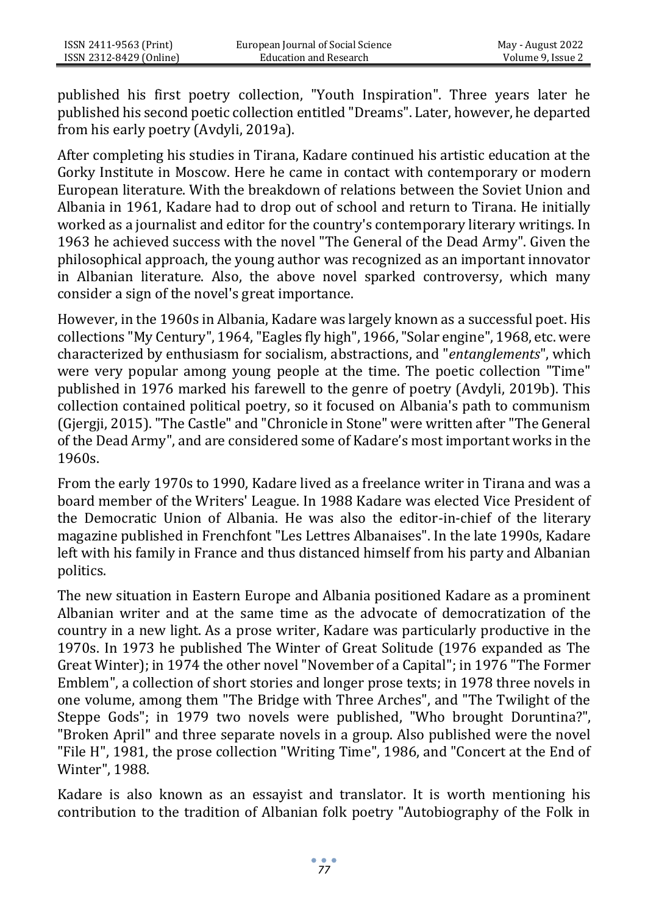published his first poetry collection, "Youth Inspiration". Three years later he published his second poetic collection entitled "Dreams". Later, however, he departed from his early poetry (Avdyli, 2019a).

After completing his studies in Tirana, Kadare continued his artistic education at the Gorky Institute in Moscow. Here he came in contact with contemporary or modern European literature. With the breakdown of relations between the Soviet Union and Albania in 1961, Kadare had to drop out of school and return to Tirana. He initially worked as a journalist and editor for the country's contemporary literary writings. In 1963 he achieved success with the novel "The General of the Dead Army". Given the philosophical approach, the young author was recognized as an important innovator in Albanian literature. Also, the above novel sparked controversy, which many consider a sign of the novel's great importance.

However, in the 1960s in Albania, Kadare was largely known as a successful poet. His collections "My Century", 1964, "Eagles fly high", 1966, "Solar engine", 1968, etc. were characterized by enthusiasm for socialism, abstractions, and "*entanglements*", which were very popular among young people at the time. The poetic collection "Time" published in 1976 marked his farewell to the genre of poetry (Avdyli, 2019b). This collection contained political poetry, so it focused on Albania's path to communism (Gjergji, 2015). "The Castle" and "Chronicle in Stone" were written after "The General of the Dead Army", and are considered some of Kadare's most important works in the 1960s.

From the early 1970s to 1990, Kadare lived as a freelance writer in Tirana and was a board member of the Writers' League. In 1988 Kadare was elected Vice President of the Democratic Union of Albania. He was also the editor-in-chief of the literary magazine published in Frenchfont "Les Lettres Albanaises". In the late 1990s, Kadare left with his family in France and thus distanced himself from his party and Albanian politics.

The new situation in Eastern Europe and Albania positioned Kadare as a prominent Albanian writer and at the same time as the advocate of democratization of the country in a new light. As a prose writer, Kadare was particularly productive in the 1970s. In 1973 he published The Winter of Great Solitude (1976 expanded as The Great Winter); in 1974 the other novel "November of a Capital"; in 1976 "The Former Emblem", a collection of short stories and longer prose texts; in 1978 three novels in one volume, among them "The Bridge with Three Arches", and "The Twilight of the Steppe Gods"; in 1979 two novels were published, "Who brought Doruntina?", "Broken April" and three separate novels in a group. Also published were the novel "File H", 1981, the prose collection "Writing Time", 1986, and "Concert at the End of Winter", 1988.

Kadare is also known as an essayist and translator. It is worth mentioning his contribution to the tradition of Albanian folk poetry "Autobiography of the Folk in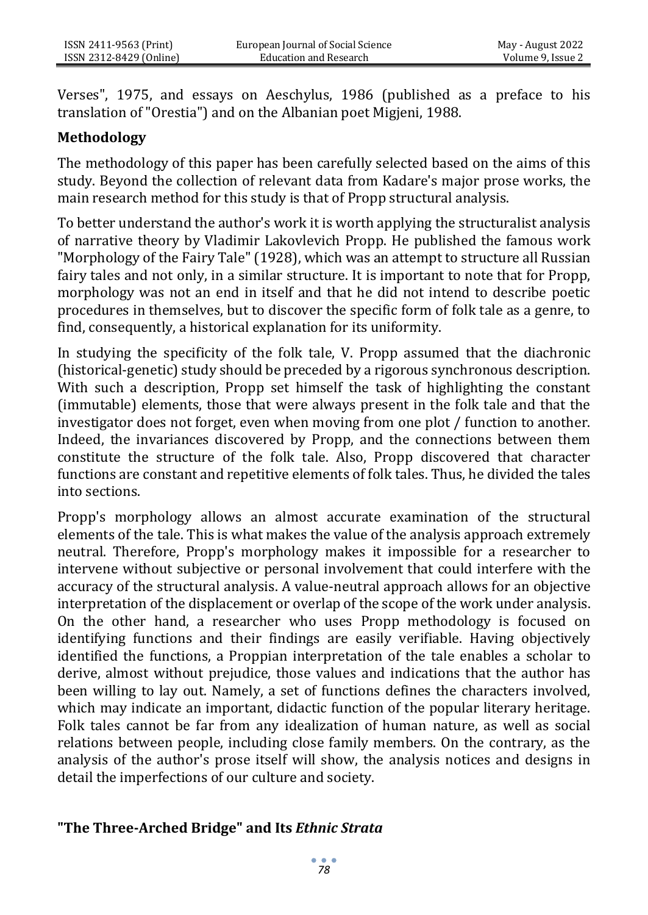Verses", 1975, and essays on Aeschylus, 1986 (published as a preface to his translation of "Orestia") and on the Albanian poet Migjeni, 1988.

### **Methodology**

The methodology of this paper has been carefully selected based on the aims of this study. Beyond the collection of relevant data from Kadare's major prose works, the main research method for this study is that of Propp structural analysis.

To better understand the author's work it is worth applying the structuralist analysis of narrative theory by Vladimir Lakovlevich Propp. He published the famous work "Morphology of the Fairy Tale" (1928), which was an attempt to structure all Russian fairy tales and not only, in a similar structure. It is important to note that for Propp, morphology was not an end in itself and that he did not intend to describe poetic procedures in themselves, but to discover the specific form of folk tale as a genre, to find, consequently, a historical explanation for its uniformity.

In studying the specificity of the folk tale, V. Propp assumed that the diachronic (historical-genetic) study should be preceded by a rigorous synchronous description. With such a description, Propp set himself the task of highlighting the constant (immutable) elements, those that were always present in the folk tale and that the investigator does not forget, even when moving from one plot / function to another. Indeed, the invariances discovered by Propp, and the connections between them constitute the structure of the folk tale. Also, Propp discovered that character functions are constant and repetitive elements of folk tales. Thus, he divided the tales into sections.

Propp's morphology allows an almost accurate examination of the structural elements of the tale. This is what makes the value of the analysis approach extremely neutral. Therefore, Propp's morphology makes it impossible for a researcher to intervene without subjective or personal involvement that could interfere with the accuracy of the structural analysis. A value-neutral approach allows for an objective interpretation of the displacement or overlap of the scope of the work under analysis. On the other hand, a researcher who uses Propp methodology is focused on identifying functions and their findings are easily verifiable. Having objectively identified the functions, a Proppian interpretation of the tale enables a scholar to derive, almost without prejudice, those values and indications that the author has been willing to lay out. Namely, a set of functions defines the characters involved, which may indicate an important, didactic function of the popular literary heritage. Folk tales cannot be far from any idealization of human nature, as well as social relations between people, including close family members. On the contrary, as the analysis of the author's prose itself will show, the analysis notices and designs in detail the imperfections of our culture and society.

#### **"The Three-Arched Bridge" and Its** *Ethnic Strata*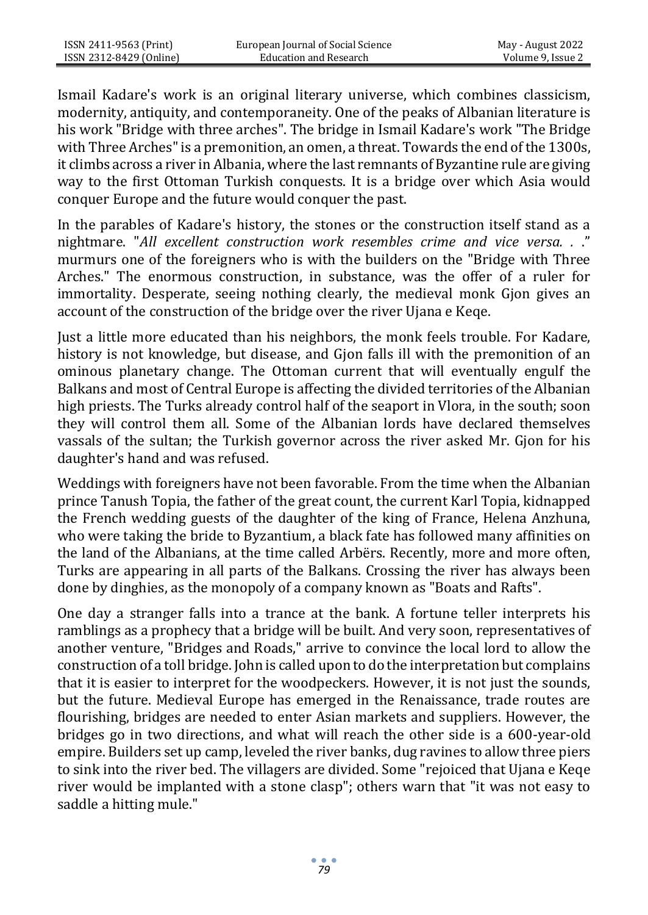Ismail Kadare's work is an original literary universe, which combines classicism, modernity, antiquity, and contemporaneity. One of the peaks of Albanian literature is his work "Bridge with three arches". The bridge in Ismail Kadare's work "The Bridge with Three Arches" is a premonition, an omen, a threat. Towards the end of the 1300s, it climbs across a river in Albania, where the last remnants of Byzantine rule are giving way to the first Ottoman Turkish conquests. It is a bridge over which Asia would conquer Europe and the future would conquer the past.

In the parables of Kadare's history, the stones or the construction itself stand as a nightmare. "*All excellent construction work resembles crime and vice versa. .* ." murmurs one of the foreigners who is with the builders on the "Bridge with Three Arches." The enormous construction, in substance, was the offer of a ruler for immortality. Desperate, seeing nothing clearly, the medieval monk Gjon gives an account of the construction of the bridge over the river Ujana e Keqe.

Just a little more educated than his neighbors, the monk feels trouble. For Kadare, history is not knowledge, but disease, and Gjon falls ill with the premonition of an ominous planetary change. The Ottoman current that will eventually engulf the Balkans and most of Central Europe is affecting the divided territories of the Albanian high priests. The Turks already control half of the seaport in Vlora, in the south; soon they will control them all. Some of the Albanian lords have declared themselves vassals of the sultan; the Turkish governor across the river asked Mr. Gjon for his daughter's hand and was refused.

Weddings with foreigners have not been favorable. From the time when the Albanian prince Tanush Topia, the father of the great count, the current Karl Topia, kidnapped the French wedding guests of the daughter of the king of France, Helena Anzhuna, who were taking the bride to Byzantium, a black fate has followed many affinities on the land of the Albanians, at the time called Arbërs. Recently, more and more often, Turks are appearing in all parts of the Balkans. Crossing the river has always been done by dinghies, as the monopoly of a company known as "Boats and Rafts".

One day a stranger falls into a trance at the bank. A fortune teller interprets his ramblings as a prophecy that a bridge will be built. And very soon, representatives of another venture, "Bridges and Roads," arrive to convince the local lord to allow the construction of a toll bridge. John is called upon to do the interpretation but complains that it is easier to interpret for the woodpeckers. However, it is not just the sounds, but the future. Medieval Europe has emerged in the Renaissance, trade routes are flourishing, bridges are needed to enter Asian markets and suppliers. However, the bridges go in two directions, and what will reach the other side is a 600-year-old empire. Builders set up camp, leveled the river banks, dug ravines to allow three piers to sink into the river bed. The villagers are divided. Some "rejoiced that Ujana e Keqe river would be implanted with a stone clasp"; others warn that "it was not easy to saddle a hitting mule."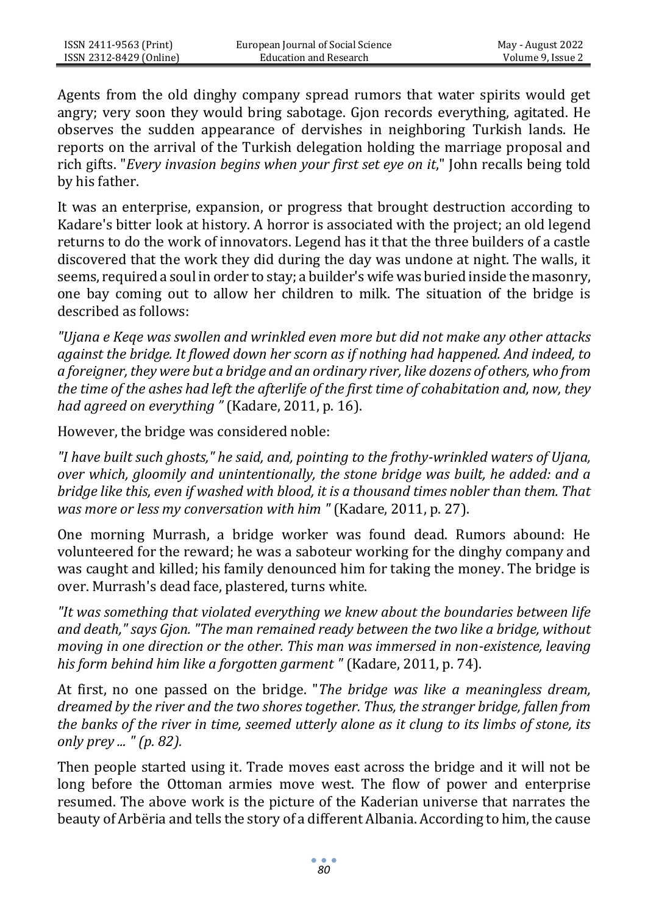Agents from the old dinghy company spread rumors that water spirits would get angry; very soon they would bring sabotage. Gjon records everything, agitated. He observes the sudden appearance of dervishes in neighboring Turkish lands. He reports on the arrival of the Turkish delegation holding the marriage proposal and rich gifts. "*Every invasion begins when your first set eye on it*," John recalls being told by his father.

It was an enterprise, expansion, or progress that brought destruction according to Kadare's bitter look at history. A horror is associated with the project; an old legend returns to do the work of innovators. Legend has it that the three builders of a castle discovered that the work they did during the day was undone at night. The walls, it seems, required a soul in order to stay; a builder's wife was buried inside the masonry, one bay coming out to allow her children to milk. The situation of the bridge is described as follows:

*"Ujana e Keqe was swollen and wrinkled even more but did not make any other attacks against the bridge. It flowed down her scorn as if nothing had happened. And indeed, to a foreigner, they were but a bridge and an ordinary river, like dozens of others, who from the time of the ashes had left the afterlife of the first time of cohabitation and, now, they had agreed on everything "* (Kadare, 2011, p. 16).

However, the bridge was considered noble:

*"I have built such ghosts," he said, and, pointing to the frothy-wrinkled waters of Ujana, over which, gloomily and unintentionally, the stone bridge was built, he added: and a bridge like this, even if washed with blood, it is a thousand times nobler than them. That was more or less my conversation with him "* (Kadare, 2011, p. 27).

One morning Murrash, a bridge worker was found dead. Rumors abound: He volunteered for the reward; he was a saboteur working for the dinghy company and was caught and killed; his family denounced him for taking the money. The bridge is over. Murrash's dead face, plastered, turns white.

*"It was something that violated everything we knew about the boundaries between life and death," says Gjon. "The man remained ready between the two like a bridge, without moving in one direction or the other. This man was immersed in non-existence, leaving his form behind him like a forgotten garment "* (Kadare, 2011, p. 74).

At first, no one passed on the bridge. "*The bridge was like a meaningless dream, dreamed by the river and the two shores together. Thus, the stranger bridge, fallen from the banks of the river in time, seemed utterly alone as it clung to its limbs of stone, its only prey ... " (p. 82).*

Then people started using it. Trade moves east across the bridge and it will not be long before the Ottoman armies move west. The flow of power and enterprise resumed. The above work is the picture of the Kaderian universe that narrates the beauty of Arbëria and tells the story of a different Albania. According to him, the cause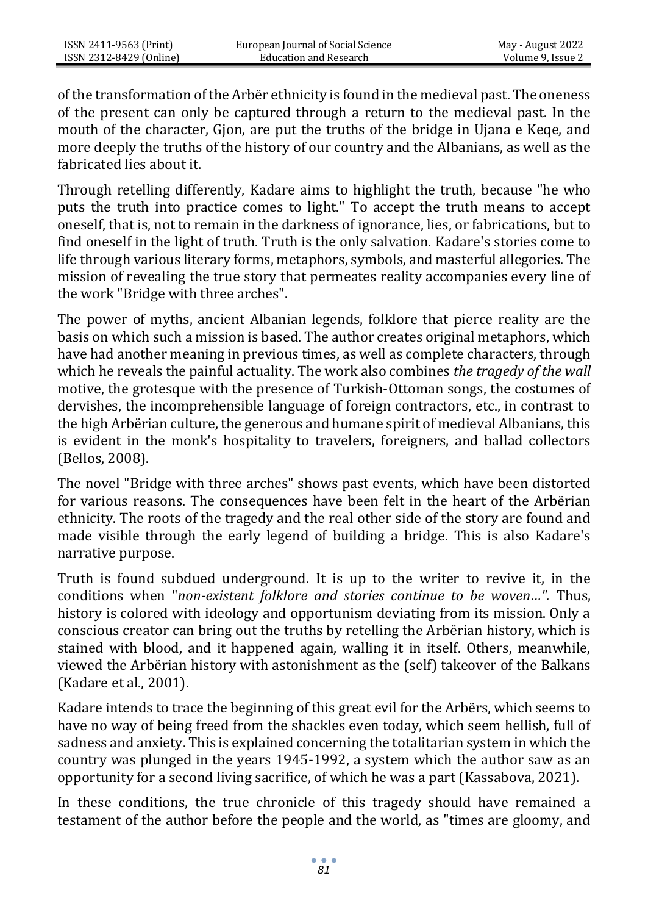of the transformation of the Arbër ethnicity is found in the medieval past. The oneness of the present can only be captured through a return to the medieval past. In the mouth of the character, Gjon, are put the truths of the bridge in Ujana e Keqe, and more deeply the truths of the history of our country and the Albanians, as well as the fabricated lies about it.

Through retelling differently, Kadare aims to highlight the truth, because "he who puts the truth into practice comes to light." To accept the truth means to accept oneself, that is, not to remain in the darkness of ignorance, lies, or fabrications, but to find oneself in the light of truth. Truth is the only salvation. Kadare's stories come to life through various literary forms, metaphors, symbols, and masterful allegories. The mission of revealing the true story that permeates reality accompanies every line of the work "Bridge with three arches".

The power of myths, ancient Albanian legends, folklore that pierce reality are the basis on which such a mission is based. The author creates original metaphors, which have had another meaning in previous times, as well as complete characters, through which he reveals the painful actuality. The work also combines *the tragedy of the wall*  motive, the grotesque with the presence of Turkish-Ottoman songs, the costumes of dervishes, the incomprehensible language of foreign contractors, etc., in contrast to the high Arbërian culture, the generous and humane spirit of medieval Albanians, this is evident in the monk's hospitality to travelers, foreigners, and ballad collectors (Bellos, 2008).

The novel "Bridge with three arches" shows past events, which have been distorted for various reasons. The consequences have been felt in the heart of the Arbërian ethnicity. The roots of the tragedy and the real other side of the story are found and made visible through the early legend of building a bridge. This is also Kadare's narrative purpose.

Truth is found subdued underground. It is up to the writer to revive it, in the conditions when "*non-existent folklore and stories continue to be woven…".* Thus, history is colored with ideology and opportunism deviating from its mission. Only a conscious creator can bring out the truths by retelling the Arbërian history, which is stained with blood, and it happened again, walling it in itself. Others, meanwhile, viewed the Arbërian history with astonishment as the (self) takeover of the Balkans (Kadare et al., 2001).

Kadare intends to trace the beginning of this great evil for the Arbërs, which seems to have no way of being freed from the shackles even today, which seem hellish, full of sadness and anxiety. This is explained concerning the totalitarian system in which the country was plunged in the years 1945-1992, a system which the author saw as an opportunity for a second living sacrifice, of which he was a part (Kassabova, 2021).

In these conditions, the true chronicle of this tragedy should have remained a testament of the author before the people and the world, as "times are gloomy, and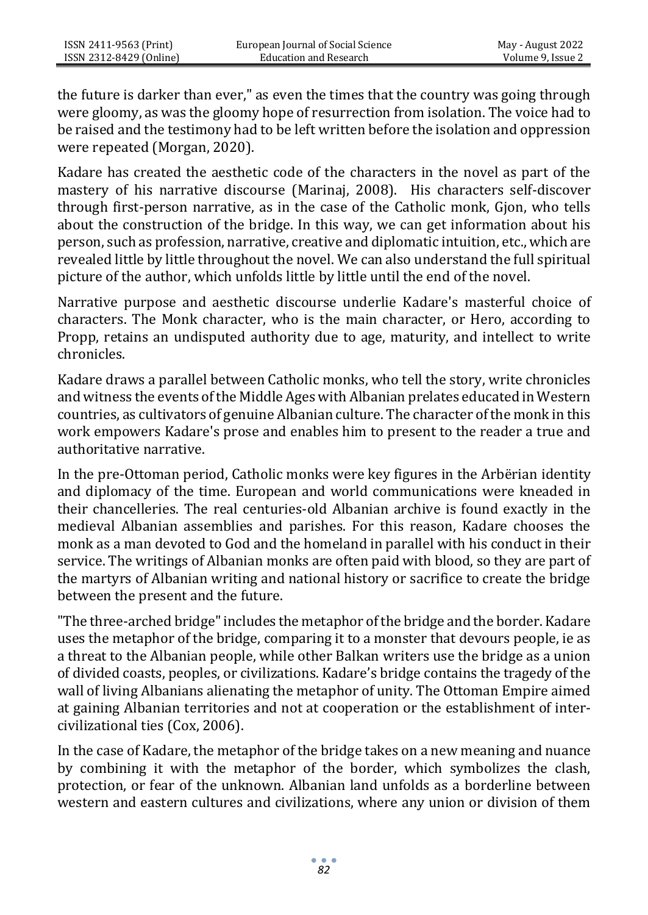the future is darker than ever," as even the times that the country was going through were gloomy, as was the gloomy hope of resurrection from isolation. The voice had to be raised and the testimony had to be left written before the isolation and oppression were repeated (Morgan, 2020).

Kadare has created the aesthetic code of the characters in the novel as part of the mastery of his narrative discourse (Marinaj, 2008). His characters self-discover through first-person narrative, as in the case of the Catholic monk, Gjon, who tells about the construction of the bridge. In this way, we can get information about his person, such as profession, narrative, creative and diplomatic intuition, etc., which are revealed little by little throughout the novel. We can also understand the full spiritual picture of the author, which unfolds little by little until the end of the novel.

Narrative purpose and aesthetic discourse underlie Kadare's masterful choice of characters. The Monk character, who is the main character, or Hero, according to Propp, retains an undisputed authority due to age, maturity, and intellect to write chronicles.

Kadare draws a parallel between Catholic monks, who tell the story, write chronicles and witness the events of the Middle Ages with Albanian prelates educated in Western countries, as cultivators of genuine Albanian culture. The character of the monk in this work empowers Kadare's prose and enables him to present to the reader a true and authoritative narrative.

In the pre-Ottoman period, Catholic monks were key figures in the Arbërian identity and diplomacy of the time. European and world communications were kneaded in their chancelleries. The real centuries-old Albanian archive is found exactly in the medieval Albanian assemblies and parishes. For this reason, Kadare chooses the monk as a man devoted to God and the homeland in parallel with his conduct in their service. The writings of Albanian monks are often paid with blood, so they are part of the martyrs of Albanian writing and national history or sacrifice to create the bridge between the present and the future.

"The three-arched bridge" includes the metaphor of the bridge and the border. Kadare uses the metaphor of the bridge, comparing it to a monster that devours people, ie as a threat to the Albanian people, while other Balkan writers use the bridge as a union of divided coasts, peoples, or civilizations. Kadare's bridge contains the tragedy of the wall of living Albanians alienating the metaphor of unity. The Ottoman Empire aimed at gaining Albanian territories and not at cooperation or the establishment of intercivilizational ties (Cox, 2006).

In the case of Kadare, the metaphor of the bridge takes on a new meaning and nuance by combining it with the metaphor of the border, which symbolizes the clash, protection, or fear of the unknown. Albanian land unfolds as a borderline between western and eastern cultures and civilizations, where any union or division of them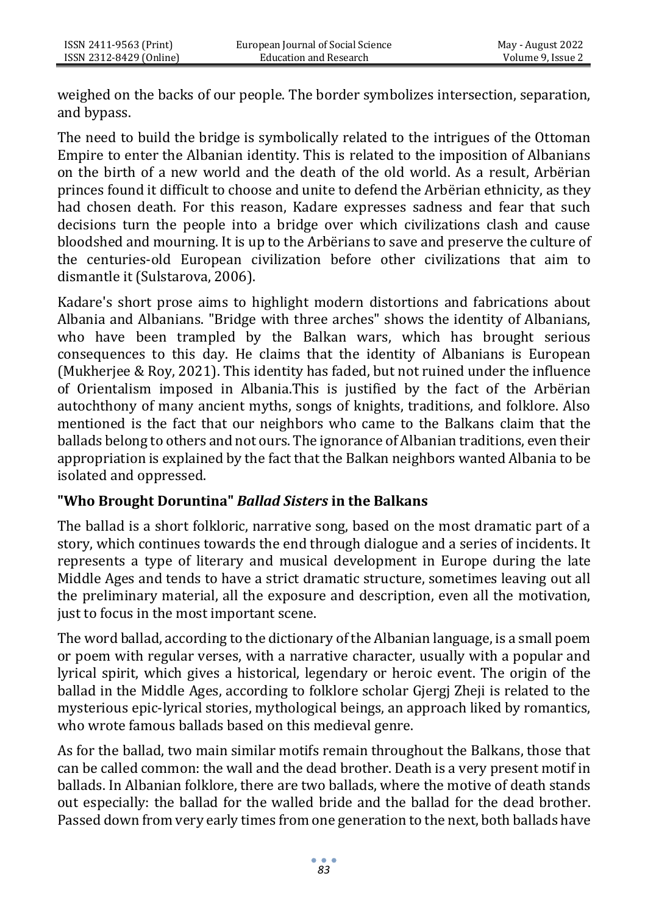weighed on the backs of our people. The border symbolizes intersection, separation, and bypass.

The need to build the bridge is symbolically related to the intrigues of the Ottoman Empire to enter the Albanian identity. This is related to the imposition of Albanians on the birth of a new world and the death of the old world. As a result, Arbërian princes found it difficult to choose and unite to defend the Arbërian ethnicity, as they had chosen death. For this reason, Kadare expresses sadness and fear that such decisions turn the people into a bridge over which civilizations clash and cause bloodshed and mourning. It is up to the Arbërians to save and preserve the culture of the centuries-old European civilization before other civilizations that aim to dismantle it (Sulstarova, 2006).

Kadare's short prose aims to highlight modern distortions and fabrications about Albania and Albanians. "Bridge with three arches" shows the identity of Albanians, who have been trampled by the Balkan wars, which has brought serious consequences to this day. He claims that the identity of Albanians is European (Mukherjee & Roy, 2021). This identity has faded, but not ruined under the influence of Orientalism imposed in Albania.This is justified by the fact of the Arbërian autochthony of many ancient myths, songs of knights, traditions, and folklore. Also mentioned is the fact that our neighbors who came to the Balkans claim that the ballads belong to others and not ours. The ignorance of Albanian traditions, even their appropriation is explained by the fact that the Balkan neighbors wanted Albania to be isolated and oppressed.

#### **"Who Brought Doruntina"** *Ballad Sisters* **in the Balkans**

The ballad is a short folkloric, narrative song, based on the most dramatic part of a story, which continues towards the end through dialogue and a series of incidents. It represents a type of literary and musical development in Europe during the late Middle Ages and tends to have a strict dramatic structure, sometimes leaving out all the preliminary material, all the exposure and description, even all the motivation, just to focus in the most important scene.

The word ballad, according to the dictionary of the Albanian language, is a small poem or poem with regular verses, with a narrative character, usually with a popular and lyrical spirit, which gives a historical, legendary or heroic event. The origin of the ballad in the Middle Ages, according to folklore scholar Gjergj Zheji is related to the mysterious epic-lyrical stories, mythological beings, an approach liked by romantics, who wrote famous ballads based on this medieval genre.

As for the ballad, two main similar motifs remain throughout the Balkans, those that can be called common: the wall and the dead brother. Death is a very present motif in ballads. In Albanian folklore, there are two ballads, where the motive of death stands out especially: the ballad for the walled bride and the ballad for the dead brother. Passed down from very early times from one generation to the next, both ballads have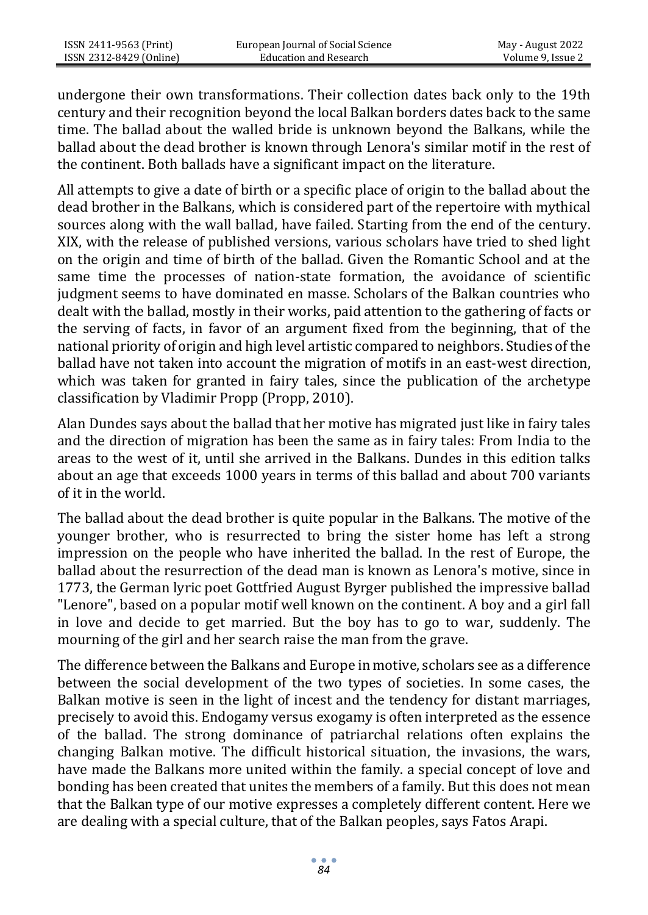undergone their own transformations. Their collection dates back only to the 19th century and their recognition beyond the local Balkan borders dates back to the same time. The ballad about the walled bride is unknown beyond the Balkans, while the ballad about the dead brother is known through Lenora's similar motif in the rest of the continent. Both ballads have a significant impact on the literature.

All attempts to give a date of birth or a specific place of origin to the ballad about the dead brother in the Balkans, which is considered part of the repertoire with mythical sources along with the wall ballad, have failed. Starting from the end of the century. XIX, with the release of published versions, various scholars have tried to shed light on the origin and time of birth of the ballad. Given the Romantic School and at the same time the processes of nation-state formation, the avoidance of scientific judgment seems to have dominated en masse. Scholars of the Balkan countries who dealt with the ballad, mostly in their works, paid attention to the gathering of facts or the serving of facts, in favor of an argument fixed from the beginning, that of the national priority of origin and high level artistic compared to neighbors. Studies of the ballad have not taken into account the migration of motifs in an east-west direction, which was taken for granted in fairy tales, since the publication of the archetype classification by Vladimir Propp (Propp, 2010).

Alan Dundes says about the ballad that her motive has migrated just like in fairy tales and the direction of migration has been the same as in fairy tales: From India to the areas to the west of it, until she arrived in the Balkans. Dundes in this edition talks about an age that exceeds 1000 years in terms of this ballad and about 700 variants of it in the world.

The ballad about the dead brother is quite popular in the Balkans. The motive of the younger brother, who is resurrected to bring the sister home has left a strong impression on the people who have inherited the ballad. In the rest of Europe, the ballad about the resurrection of the dead man is known as Lenora's motive, since in 1773, the German lyric poet Gottfried August Byrger published the impressive ballad "Lenore", based on a popular motif well known on the continent. A boy and a girl fall in love and decide to get married. But the boy has to go to war, suddenly. The mourning of the girl and her search raise the man from the grave.

The difference between the Balkans and Europe in motive, scholars see as a difference between the social development of the two types of societies. In some cases, the Balkan motive is seen in the light of incest and the tendency for distant marriages, precisely to avoid this. Endogamy versus exogamy is often interpreted as the essence of the ballad. The strong dominance of patriarchal relations often explains the changing Balkan motive. The difficult historical situation, the invasions, the wars, have made the Balkans more united within the family. a special concept of love and bonding has been created that unites the members of a family. But this does not mean that the Balkan type of our motive expresses a completely different content. Here we are dealing with a special culture, that of the Balkan peoples, says Fatos Arapi.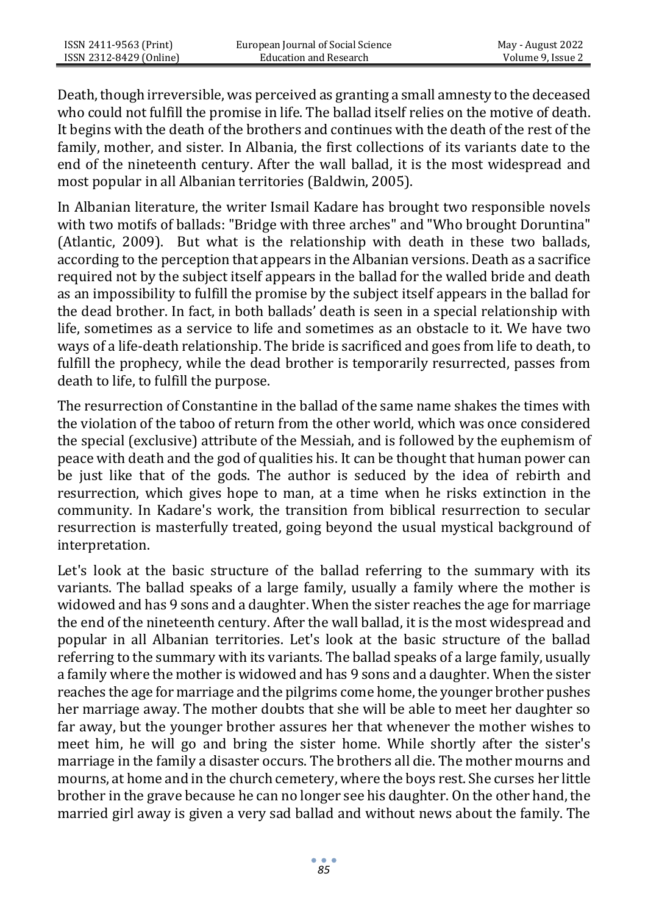Death, though irreversible, was perceived as granting a small amnesty to the deceased who could not fulfill the promise in life. The ballad itself relies on the motive of death. It begins with the death of the brothers and continues with the death of the rest of the family, mother, and sister. In Albania, the first collections of its variants date to the end of the nineteenth century. After the wall ballad, it is the most widespread and most popular in all Albanian territories (Baldwin, 2005).

In Albanian literature, the writer Ismail Kadare has brought two responsible novels with two motifs of ballads: "Bridge with three arches" and "Who brought Doruntina" (Atlantic, 2009). But what is the relationship with death in these two ballads, according to the perception that appears in the Albanian versions. Death as a sacrifice required not by the subject itself appears in the ballad for the walled bride and death as an impossibility to fulfill the promise by the subject itself appears in the ballad for the dead brother. In fact, in both ballads' death is seen in a special relationship with life, sometimes as a service to life and sometimes as an obstacle to it. We have two ways of a life-death relationship. The bride is sacrificed and goes from life to death, to fulfill the prophecy, while the dead brother is temporarily resurrected, passes from death to life, to fulfill the purpose.

The resurrection of Constantine in the ballad of the same name shakes the times with the violation of the taboo of return from the other world, which was once considered the special (exclusive) attribute of the Messiah, and is followed by the euphemism of peace with death and the god of qualities his. It can be thought that human power can be just like that of the gods. The author is seduced by the idea of rebirth and resurrection, which gives hope to man, at a time when he risks extinction in the community. In Kadare's work, the transition from biblical resurrection to secular resurrection is masterfully treated, going beyond the usual mystical background of interpretation.

Let's look at the basic structure of the ballad referring to the summary with its variants. The ballad speaks of a large family, usually a family where the mother is widowed and has 9 sons and a daughter. When the sister reaches the age for marriage the end of the nineteenth century. After the wall ballad, it is the most widespread and popular in all Albanian territories. Let's look at the basic structure of the ballad referring to the summary with its variants. The ballad speaks of a large family, usually a family where the mother is widowed and has 9 sons and a daughter. When the sister reaches the age for marriage and the pilgrims come home, the younger brother pushes her marriage away. The mother doubts that she will be able to meet her daughter so far away, but the younger brother assures her that whenever the mother wishes to meet him, he will go and bring the sister home. While shortly after the sister's marriage in the family a disaster occurs. The brothers all die. The mother mourns and mourns, at home and in the church cemetery, where the boys rest. She curses her little brother in the grave because he can no longer see his daughter. On the other hand, the married girl away is given a very sad ballad and without news about the family. The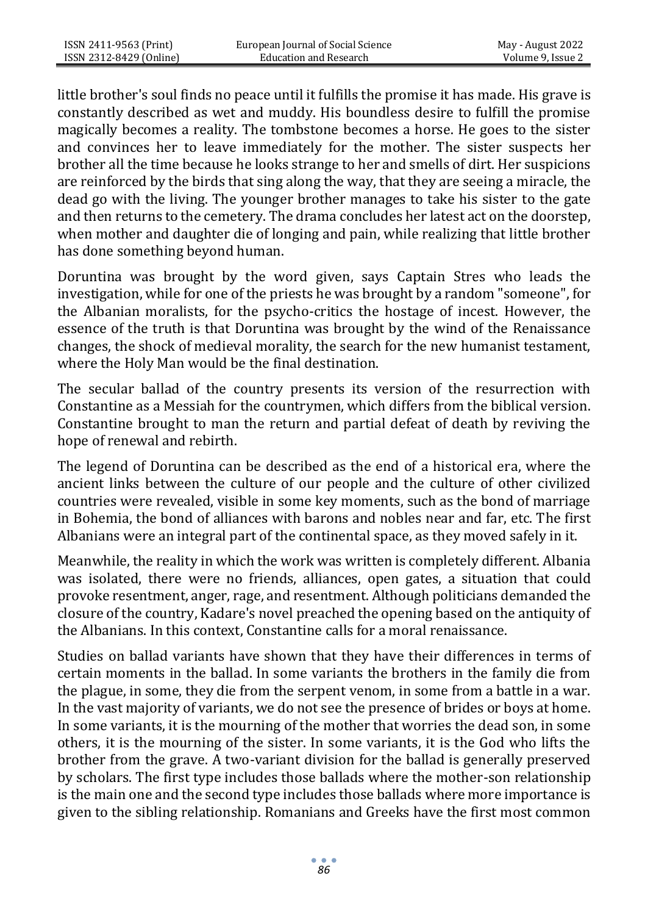little brother's soul finds no peace until it fulfills the promise it has made. His grave is constantly described as wet and muddy. His boundless desire to fulfill the promise magically becomes a reality. The tombstone becomes a horse. He goes to the sister and convinces her to leave immediately for the mother. The sister suspects her brother all the time because he looks strange to her and smells of dirt. Her suspicions are reinforced by the birds that sing along the way, that they are seeing a miracle, the dead go with the living. The younger brother manages to take his sister to the gate and then returns to the cemetery. The drama concludes her latest act on the doorstep, when mother and daughter die of longing and pain, while realizing that little brother has done something beyond human.

Doruntina was brought by the word given, says Captain Stres who leads the investigation, while for one of the priests he was brought by a random "someone", for the Albanian moralists, for the psycho-critics the hostage of incest. However, the essence of the truth is that Doruntina was brought by the wind of the Renaissance changes, the shock of medieval morality, the search for the new humanist testament, where the Holy Man would be the final destination.

The secular ballad of the country presents its version of the resurrection with Constantine as a Messiah for the countrymen, which differs from the biblical version. Constantine brought to man the return and partial defeat of death by reviving the hope of renewal and rebirth.

The legend of Doruntina can be described as the end of a historical era, where the ancient links between the culture of our people and the culture of other civilized countries were revealed, visible in some key moments, such as the bond of marriage in Bohemia, the bond of alliances with barons and nobles near and far, etc. The first Albanians were an integral part of the continental space, as they moved safely in it.

Meanwhile, the reality in which the work was written is completely different. Albania was isolated, there were no friends, alliances, open gates, a situation that could provoke resentment, anger, rage, and resentment. Although politicians demanded the closure of the country, Kadare's novel preached the opening based on the antiquity of the Albanians. In this context, Constantine calls for a moral renaissance.

Studies on ballad variants have shown that they have their differences in terms of certain moments in the ballad. In some variants the brothers in the family die from the plague, in some, they die from the serpent venom, in some from a battle in a war. In the vast majority of variants, we do not see the presence of brides or boys at home. In some variants, it is the mourning of the mother that worries the dead son, in some others, it is the mourning of the sister. In some variants, it is the God who lifts the brother from the grave. A two-variant division for the ballad is generally preserved by scholars. The first type includes those ballads where the mother-son relationship is the main one and the second type includes those ballads where more importance is given to the sibling relationship. Romanians and Greeks have the first most common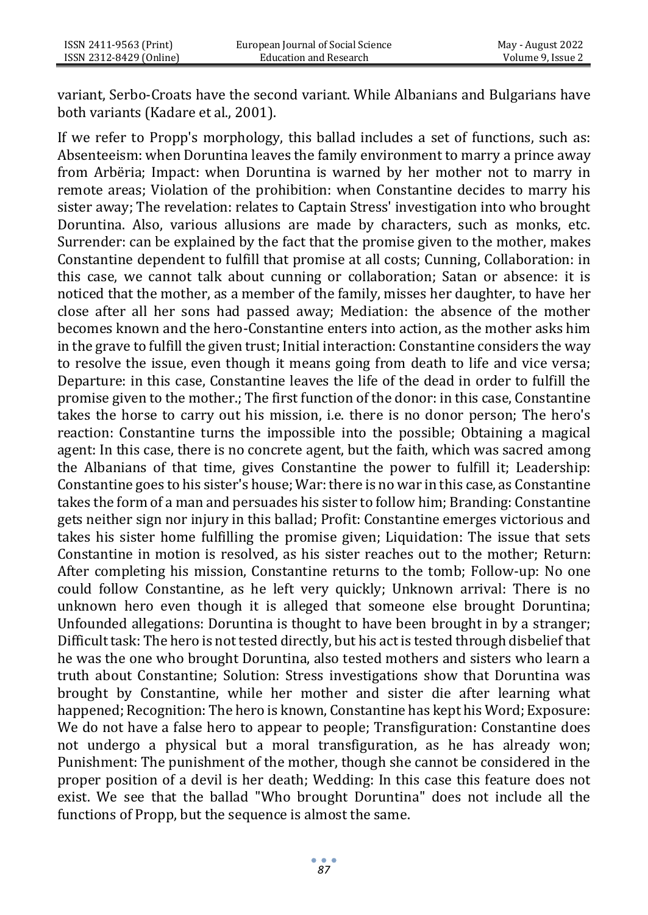variant, Serbo-Croats have the second variant. While Albanians and Bulgarians have both variants (Kadare et al., 2001).

If we refer to Propp's morphology, this ballad includes a set of functions, such as: Absenteeism: when Doruntina leaves the family environment to marry a prince away from Arbëria; Impact: when Doruntina is warned by her mother not to marry in remote areas; Violation of the prohibition: when Constantine decides to marry his sister away; The revelation: relates to Captain Stress' investigation into who brought Doruntina. Also, various allusions are made by characters, such as monks, etc. Surrender: can be explained by the fact that the promise given to the mother, makes Constantine dependent to fulfill that promise at all costs; Cunning, Collaboration: in this case, we cannot talk about cunning or collaboration; Satan or absence: it is noticed that the mother, as a member of the family, misses her daughter, to have her close after all her sons had passed away; Mediation: the absence of the mother becomes known and the hero-Constantine enters into action, as the mother asks him in the grave to fulfill the given trust; Initial interaction: Constantine considers the way to resolve the issue, even though it means going from death to life and vice versa; Departure: in this case, Constantine leaves the life of the dead in order to fulfill the promise given to the mother.; The first function of the donor: in this case, Constantine takes the horse to carry out his mission, i.e. there is no donor person; The hero's reaction: Constantine turns the impossible into the possible; Obtaining a magical agent: In this case, there is no concrete agent, but the faith, which was sacred among the Albanians of that time, gives Constantine the power to fulfill it; Leadership: Constantine goes to his sister's house; War: there is no war in this case, as Constantine takes the form of a man and persuades his sister to follow him; Branding: Constantine gets neither sign nor injury in this ballad; Profit: Constantine emerges victorious and takes his sister home fulfilling the promise given; Liquidation: The issue that sets Constantine in motion is resolved, as his sister reaches out to the mother; Return: After completing his mission, Constantine returns to the tomb; Follow-up: No one could follow Constantine, as he left very quickly; Unknown arrival: There is no unknown hero even though it is alleged that someone else brought Doruntina; Unfounded allegations: Doruntina is thought to have been brought in by a stranger; Difficult task: The hero is not tested directly, but his act is tested through disbelief that he was the one who brought Doruntina, also tested mothers and sisters who learn a truth about Constantine; Solution: Stress investigations show that Doruntina was brought by Constantine, while her mother and sister die after learning what happened; Recognition: The hero is known, Constantine has kept his Word; Exposure: We do not have a false hero to appear to people; Transfiguration: Constantine does not undergo a physical but a moral transfiguration, as he has already won; Punishment: The punishment of the mother, though she cannot be considered in the proper position of a devil is her death; Wedding: In this case this feature does not exist. We see that the ballad "Who brought Doruntina" does not include all the functions of Propp, but the sequence is almost the same.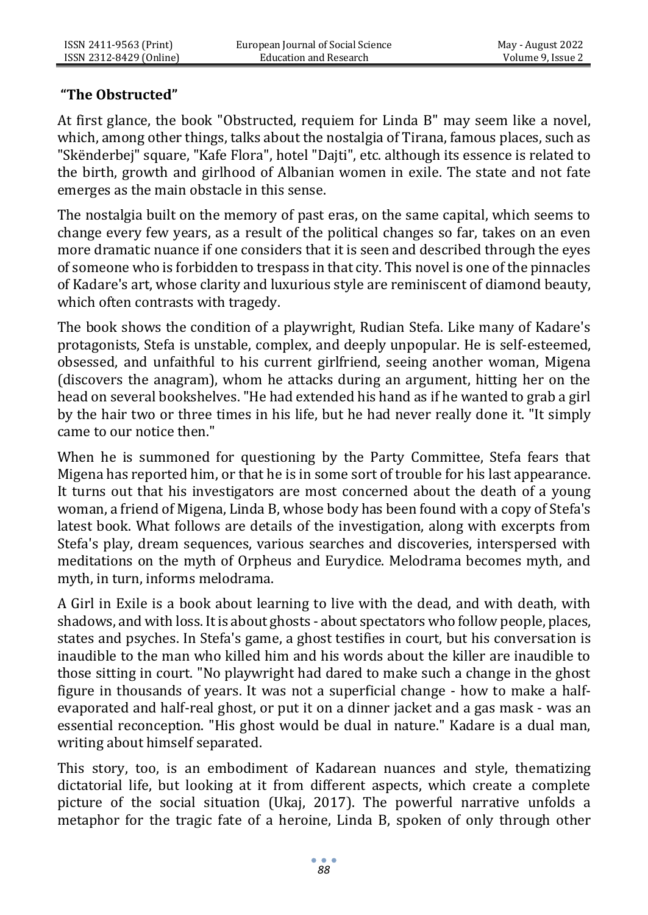# **"The Obstructed"**

At first glance, the book "Obstructed, requiem for Linda B" may seem like a novel, which, among other things, talks about the nostalgia of Tirana, famous places, such as "Skënderbej" square, "Kafe Flora", hotel "Dajti", etc. although its essence is related to the birth, growth and girlhood of Albanian women in exile. The state and not fate emerges as the main obstacle in this sense.

The nostalgia built on the memory of past eras, on the same capital, which seems to change every few years, as a result of the political changes so far, takes on an even more dramatic nuance if one considers that it is seen and described through the eyes of someone who is forbidden to trespass in that city. This novel is one of the pinnacles of Kadare's art, whose clarity and luxurious style are reminiscent of diamond beauty, which often contrasts with tragedy.

The book shows the condition of a playwright, Rudian Stefa. Like many of Kadare's protagonists, Stefa is unstable, complex, and deeply unpopular. He is self-esteemed, obsessed, and unfaithful to his current girlfriend, seeing another woman, Migena (discovers the anagram), whom he attacks during an argument, hitting her on the head on several bookshelves. "He had extended his hand as if he wanted to grab a girl by the hair two or three times in his life, but he had never really done it. "It simply came to our notice then."

When he is summoned for questioning by the Party Committee, Stefa fears that Migena has reported him, or that he is in some sort of trouble for his last appearance. It turns out that his investigators are most concerned about the death of a young woman, a friend of Migena, Linda B, whose body has been found with a copy of Stefa's latest book. What follows are details of the investigation, along with excerpts from Stefa's play, dream sequences, various searches and discoveries, interspersed with meditations on the myth of Orpheus and Eurydice. Melodrama becomes myth, and myth, in turn, informs melodrama.

A Girl in Exile is a book about learning to live with the dead, and with death, with shadows, and with loss. It is about ghosts - about spectators who follow people, places, states and psyches. In Stefa's game, a ghost testifies in court, but his conversation is inaudible to the man who killed him and his words about the killer are inaudible to those sitting in court. "No playwright had dared to make such a change in the ghost figure in thousands of years. It was not a superficial change - how to make a halfevaporated and half-real ghost, or put it on a dinner jacket and a gas mask - was an essential reconception. "His ghost would be dual in nature." Kadare is a dual man, writing about himself separated.

This story, too, is an embodiment of Kadarean nuances and style, thematizing dictatorial life, but looking at it from different aspects, which create a complete picture of the social situation (Ukaj, 2017). The powerful narrative unfolds a metaphor for the tragic fate of a heroine, Linda B, spoken of only through other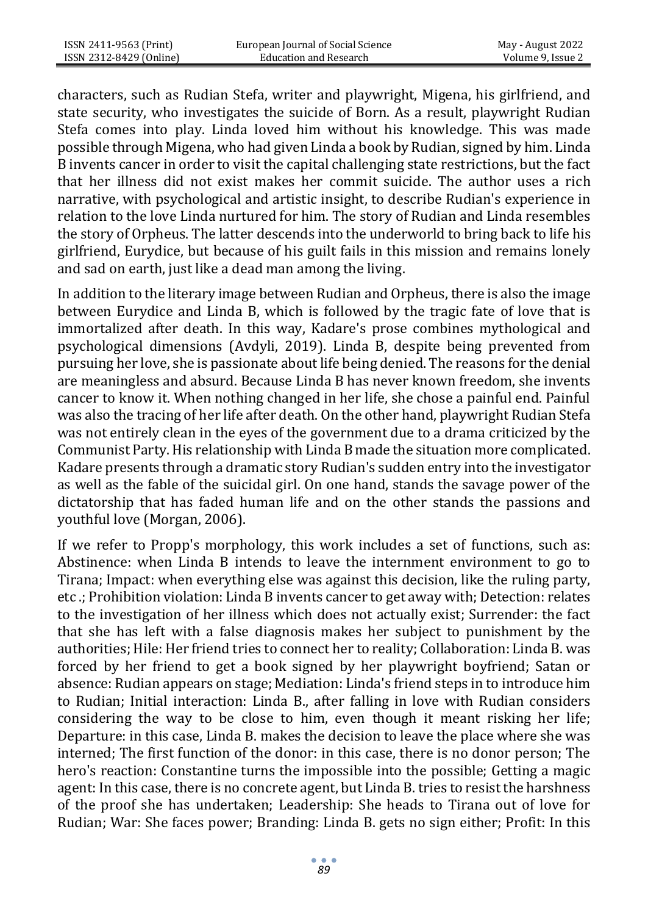characters, such as Rudian Stefa, writer and playwright, Migena, his girlfriend, and state security, who investigates the suicide of Born. As a result, playwright Rudian Stefa comes into play. Linda loved him without his knowledge. This was made possible through Migena, who had given Linda a book by Rudian, signed by him. Linda B invents cancer in order to visit the capital challenging state restrictions, but the fact that her illness did not exist makes her commit suicide. The author uses a rich narrative, with psychological and artistic insight, to describe Rudian's experience in relation to the love Linda nurtured for him. The story of Rudian and Linda resembles the story of Orpheus. The latter descends into the underworld to bring back to life his girlfriend, Eurydice, but because of his guilt fails in this mission and remains lonely and sad on earth, just like a dead man among the living.

In addition to the literary image between Rudian and Orpheus, there is also the image between Eurydice and Linda B, which is followed by the tragic fate of love that is immortalized after death. In this way, Kadare's prose combines mythological and psychological dimensions (Avdyli, 2019). Linda B, despite being prevented from pursuing her love, she is passionate about life being denied. The reasons for the denial are meaningless and absurd. Because Linda B has never known freedom, she invents cancer to know it. When nothing changed in her life, she chose a painful end. Painful was also the tracing of her life after death. On the other hand, playwright Rudian Stefa was not entirely clean in the eyes of the government due to a drama criticized by the Communist Party. His relationship with Linda B made the situation more complicated. Kadare presents through a dramatic story Rudian's sudden entry into the investigator as well as the fable of the suicidal girl. On one hand, stands the savage power of the dictatorship that has faded human life and on the other stands the passions and youthful love (Morgan, 2006).

If we refer to Propp's morphology, this work includes a set of functions, such as: Abstinence: when Linda B intends to leave the internment environment to go to Tirana; Impact: when everything else was against this decision, like the ruling party, etc .; Prohibition violation: Linda B invents cancer to get away with; Detection: relates to the investigation of her illness which does not actually exist; Surrender: the fact that she has left with a false diagnosis makes her subject to punishment by the authorities; Hile: Her friend tries to connect her to reality; Collaboration: Linda B. was forced by her friend to get a book signed by her playwright boyfriend; Satan or absence: Rudian appears on stage; Mediation: Linda's friend steps in to introduce him to Rudian; Initial interaction: Linda B., after falling in love with Rudian considers considering the way to be close to him, even though it meant risking her life; Departure: in this case, Linda B. makes the decision to leave the place where she was interned; The first function of the donor: in this case, there is no donor person; The hero's reaction: Constantine turns the impossible into the possible; Getting a magic agent: In this case, there is no concrete agent, but Linda B. tries to resist the harshness of the proof she has undertaken; Leadership: She heads to Tirana out of love for Rudian; War: She faces power; Branding: Linda B. gets no sign either; Profit: In this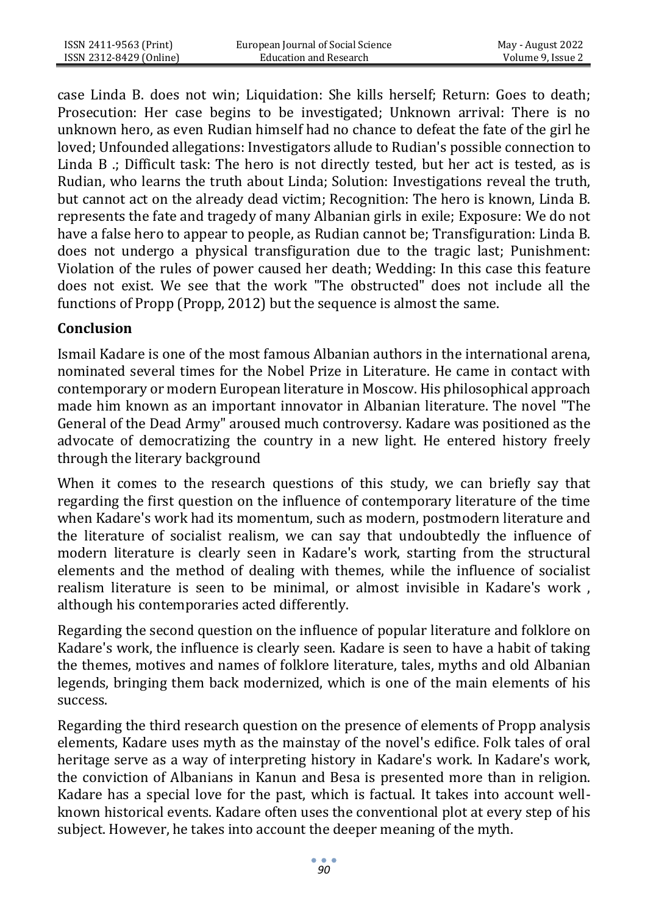| ISSN 2411-9563 (Print)  | European Journal of Social Science | May - August 2022 |
|-------------------------|------------------------------------|-------------------|
| ISSN 2312-8429 (Online) | Education and Research             | Volume 9, Issue 2 |

case Linda B. does not win; Liquidation: She kills herself; Return: Goes to death; Prosecution: Her case begins to be investigated; Unknown arrival: There is no unknown hero, as even Rudian himself had no chance to defeat the fate of the girl he loved; Unfounded allegations: Investigators allude to Rudian's possible connection to Linda B .; Difficult task: The hero is not directly tested, but her act is tested, as is Rudian, who learns the truth about Linda; Solution: Investigations reveal the truth, but cannot act on the already dead victim; Recognition: The hero is known, Linda B. represents the fate and tragedy of many Albanian girls in exile; Exposure: We do not have a false hero to appear to people, as Rudian cannot be; Transfiguration: Linda B. does not undergo a physical transfiguration due to the tragic last; Punishment: Violation of the rules of power caused her death; Wedding: In this case this feature does not exist. We see that the work "The obstructed" does not include all the functions of Propp (Propp, 2012) but the sequence is almost the same.

#### **Conclusion**

Ismail Kadare is one of the most famous Albanian authors in the international arena, nominated several times for the Nobel Prize in Literature. He came in contact with contemporary or modern European literature in Moscow. His philosophical approach made him known as an important innovator in Albanian literature. The novel "The General of the Dead Army" aroused much controversy. Kadare was positioned as the advocate of democratizing the country in a new light. He entered history freely through the literary background

When it comes to the research questions of this study, we can briefly say that regarding the first question on the influence of contemporary literature of the time when Kadare's work had its momentum, such as modern, postmodern literature and the literature of socialist realism, we can say that undoubtedly the influence of modern literature is clearly seen in Kadare's work, starting from the structural elements and the method of dealing with themes, while the influence of socialist realism literature is seen to be minimal, or almost invisible in Kadare's work , although his contemporaries acted differently.

Regarding the second question on the influence of popular literature and folklore on Kadare's work, the influence is clearly seen. Kadare is seen to have a habit of taking the themes, motives and names of folklore literature, tales, myths and old Albanian legends, bringing them back modernized, which is one of the main elements of his success.

Regarding the third research question on the presence of elements of Propp analysis elements, Kadare uses myth as the mainstay of the novel's edifice. Folk tales of oral heritage serve as a way of interpreting history in Kadare's work. In Kadare's work, the conviction of Albanians in Kanun and Besa is presented more than in religion. Kadare has a special love for the past, which is factual. It takes into account wellknown historical events. Kadare often uses the conventional plot at every step of his subject. However, he takes into account the deeper meaning of the myth.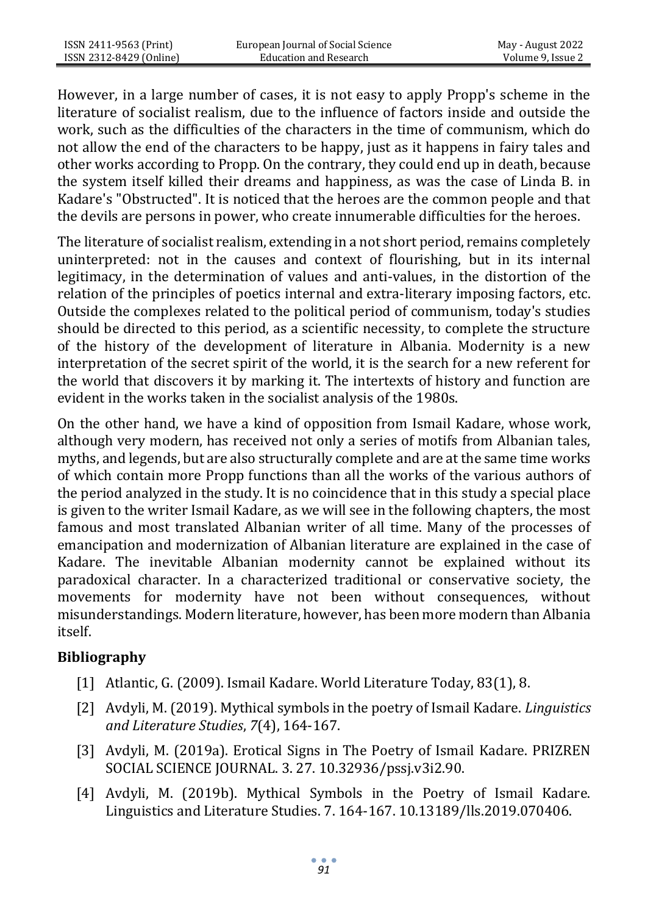However, in a large number of cases, it is not easy to apply Propp's scheme in the literature of socialist realism, due to the influence of factors inside and outside the work, such as the difficulties of the characters in the time of communism, which do not allow the end of the characters to be happy, just as it happens in fairy tales and other works according to Propp. On the contrary, they could end up in death, because the system itself killed their dreams and happiness, as was the case of Linda B. in Kadare's "Obstructed". It is noticed that the heroes are the common people and that the devils are persons in power, who create innumerable difficulties for the heroes.

The literature of socialist realism, extending in a not short period, remains completely uninterpreted: not in the causes and context of flourishing, but in its internal legitimacy, in the determination of values and anti-values, in the distortion of the relation of the principles of poetics internal and extra-literary imposing factors, etc. Outside the complexes related to the political period of communism, today's studies should be directed to this period, as a scientific necessity, to complete the structure of the history of the development of literature in Albania. Modernity is a new interpretation of the secret spirit of the world, it is the search for a new referent for the world that discovers it by marking it. The intertexts of history and function are evident in the works taken in the socialist analysis of the 1980s.

On the other hand, we have a kind of opposition from Ismail Kadare, whose work, although very modern, has received not only a series of motifs from Albanian tales, myths, and legends, but are also structurally complete and are at the same time works of which contain more Propp functions than all the works of the various authors of the period analyzed in the study. It is no coincidence that in this study a special place is given to the writer Ismail Kadare, as we will see in the following chapters, the most famous and most translated Albanian writer of all time. Many of the processes of emancipation and modernization of Albanian literature are explained in the case of Kadare. The inevitable Albanian modernity cannot be explained without its paradoxical character. In a characterized traditional or conservative society, the movements for modernity have not been without consequences, without misunderstandings. Modern literature, however, has been more modern than Albania itself.

# **Bibliography**

- [1] Atlantic, G. (2009). Ismail Kadare. World Literature Today, 83(1), 8.
- [2] Avdyli, M. (2019). Mythical symbols in the poetry of Ismail Kadare. *Linguistics and Literature Studies*, *7*(4), 164-167.
- [3] Avdyli, M. (2019a). Erotical Signs in The Poetry of Ismail Kadare. PRIZREN SOCIAL SCIENCE JOURNAL. 3. 27. 10.32936/pssj.v3i2.90.
- [4] Avdyli, M. (2019b). Mythical Symbols in the Poetry of Ismail Kadare. Linguistics and Literature Studies. 7. 164-167. 10.13189/lls.2019.070406.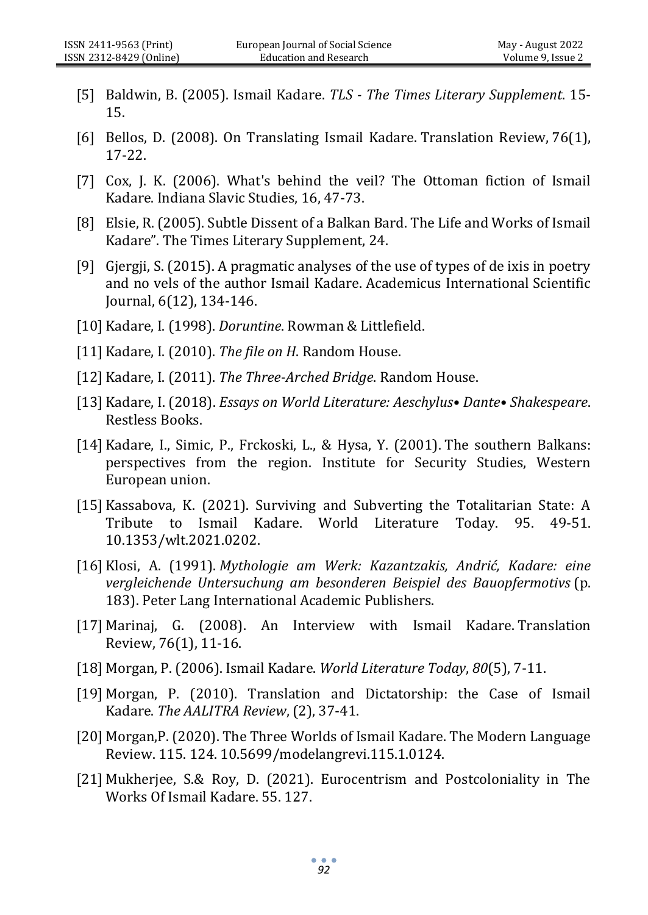- [5] Baldwin, B. (2005). Ismail Kadare. *TLS - The Times Literary Supplement*. 15- 15.
- [6] Bellos, D. (2008). On Translating Ismail Kadare. Translation Review, 76(1), 17-22.
- [7] Cox, J. K. (2006). What's behind the veil? The Ottoman fiction of Ismail Kadare. Indiana Slavic Studies, 16, 47-73.
- [8] Elsie, R. (2005). Subtle Dissent of a Balkan Bard. The Life and Works of Ismail Kadare". The Times Literary Supplement, 24.
- [9] Gjergji, S. (2015). A pragmatic analyses of the use of types of de ixis in poetry and no vels of the author Ismail Kadare. Academicus International Scientific Journal, 6(12), 134-146.
- [10] Kadare, I. (1998). *Doruntine*. Rowman & Littlefield.
- [11] Kadare, I. (2010). *The file on H*. Random House.
- [12] Kadare, I. (2011). *The Three-Arched Bridge*. Random House.
- [13] Kadare, I. (2018). *Essays on World Literature: Aeschylus• Dante• Shakespeare*. Restless Books.
- [14] Kadare, I., Simic, P., Frckoski, L., & Hysa, Y. (2001). The southern Balkans: perspectives from the region. Institute for Security Studies, Western European union.
- [15] Kassabova, K. (2021). Surviving and Subverting the Totalitarian State: A Tribute to Ismail Kadare. World Literature Today. 95. 49-51. 10.1353/wlt.2021.0202.
- [16] Klosi, A. (1991). *Mythologie am Werk: Kazantzakis, Andrić, Kadare: eine vergleichende Untersuchung am besonderen Beispiel des Bauopfermotivs* (p. 183). Peter Lang International Academic Publishers.
- [17] Marinaj, G. (2008). An Interview with Ismail Kadare. Translation Review, 76(1), 11-16.
- [18] Morgan, P. (2006). Ismail Kadare. *World Literature Today*, *80*(5), 7-11.
- [19] Morgan, P. (2010). Translation and Dictatorship: the Case of Ismail Kadare. *The AALITRA Review*, (2), 37-41.
- [20] Morgan,P. (2020). The Three Worlds of Ismail Kadare. The Modern Language Review. 115. 124. 10.5699/modelangrevi.115.1.0124.
- [21] Mukherjee, S.& Roy, D. (2021). Eurocentrism and Postcoloniality in The Works Of Ismail Kadare. 55. 127.